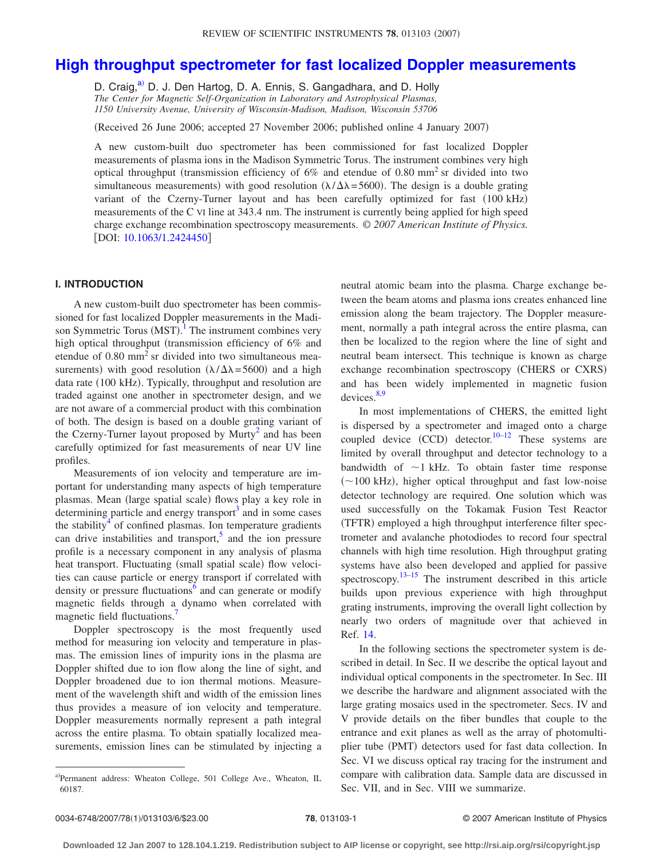# **[High throughput spectrometer for fast localized Doppler measurements](http://dx.doi.org/10.1063/1.2424450)**

D. Craig,<sup>a)</sup> D. J. Den Hartog, D. A. Ennis, S. Gangadhara, and D. Holly *The Center for Magnetic Self-Organization in Laboratory and Astrophysical Plasmas, 1150 University Avenue, University of Wisconsin-Madison, Madison, Wisconsin 53706*

Received 26 June 2006; accepted 27 November 2006; published online 4 January 2007-

A new custom-built duo spectrometer has been commissioned for fast localized Doppler measurements of plasma ions in the Madison Symmetric Torus. The instrument combines very high optical throughput (transmission efficiency of  $6\%$  and etendue of 0.80 mm<sup>2</sup> sr divided into two simultaneous measurements) with good resolution  $(\lambda/\Delta\lambda = 5600)$ . The design is a double grating variant of the Czerny-Turner layout and has been carefully optimized for fast (100 kHz) measurements of the C VI line at 343.4 nm. The instrument is currently being applied for high speed charge exchange recombination spectroscopy measurements. *© 2007 American Institute of Physics.* [DOI: [10.1063/1.2424450](http://dx.doi.org/10.1063/1.2424450)]

### **I. INTRODUCTION**

A new custom-built duo spectrometer has been commissioned for fast localized Doppler measurements in the Madi-son Symmetric Torus (MST).<sup>[1](#page-5-0)</sup> The instrument combines very high optical throughput (transmission efficiency of  $6\%$  and etendue of  $0.80 \text{ mm}^2$  sr divided into two simultaneous measurements) with good resolution  $(\lambda/\Delta\lambda = 5600)$  and a high data rate (100 kHz). Typically, throughput and resolution are traded against one another in spectrometer design, and we are not aware of a commercial product with this combination of both. The design is based on a double grating variant of the Czerny-Turner layout proposed by Murty<sup>2</sup> and has been carefully optimized for fast measurements of near UV line profiles.

Measurements of ion velocity and temperature are important for understanding many aspects of high temperature plasmas. Mean (large spatial scale) flows play a key role in determining particle and energy transport $3$  and in some cases the stability<sup>4</sup> of confined plasmas. Ion temperature gradients can drive instabilities and transport, $5$  and the ion pressure profile is a necessary component in any analysis of plasma heat transport. Fluctuating (small spatial scale) flow velocities can cause particle or energy transport if correlated with density or pressure fluctuations<sup>6</sup> and can generate or modify magnetic fields through a dynamo when correlated with magnetic field fluctuations.<sup>1</sup>

Doppler spectroscopy is the most frequently used method for measuring ion velocity and temperature in plasmas. The emission lines of impurity ions in the plasma are Doppler shifted due to ion flow along the line of sight, and Doppler broadened due to ion thermal motions. Measurement of the wavelength shift and width of the emission lines thus provides a measure of ion velocity and temperature. Doppler measurements normally represent a path integral across the entire plasma. To obtain spatially localized measurements, emission lines can be stimulated by injecting a neutral atomic beam into the plasma. Charge exchange between the beam atoms and plasma ions creates enhanced line emission along the beam trajectory. The Doppler measurement, normally a path integral across the entire plasma, can then be localized to the region where the line of sight and neutral beam intersect. This technique is known as charge exchange recombination spectroscopy (CHERS or CXRS) and has been widely implemented in magnetic fusion devices. $8,9$  $8,9$ 

In most implementations of CHERS, the emitted light is dispersed by a spectrometer and imaged onto a charge coupled device  $(CCD)$  detector.<sup>10–[12](#page-5-10)</sup> These systems are limited by overall throughput and detector technology to a bandwidth of  $\sim$ 1 kHz. To obtain faster time response  $(\sim 100$  kHz), higher optical throughput and fast low-noise detector technology are required. One solution which was used successfully on the Tokamak Fusion Test Reactor (TFTR) employed a high throughput interference filter spectrometer and avalanche photodiodes to record four spectral channels with high time resolution. High throughput grating systems have also been developed and applied for passive spectroscopy. $13-15$  The instrument described in this article builds upon previous experience with high throughput grating instruments, improving the overall light collection by nearly two orders of magnitude over that achieved in Ref. [14.](#page-5-13)

In the following sections the spectrometer system is described in detail. In Sec. II we describe the optical layout and individual optical components in the spectrometer. In Sec. III we describe the hardware and alignment associated with the large grating mosaics used in the spectrometer. Secs. IV and V provide details on the fiber bundles that couple to the entrance and exit planes as well as the array of photomultiplier tube (PMT) detectors used for fast data collection. In Sec. VI we discuss optical ray tracing for the instrument and compare with calibration data. Sample data are discussed in Sec. VII, and in Sec. VIII we summarize.

<span id="page-0-0"></span>a)Permanent address: Wheaton College, 501 College Ave., Wheaton, IL 60187.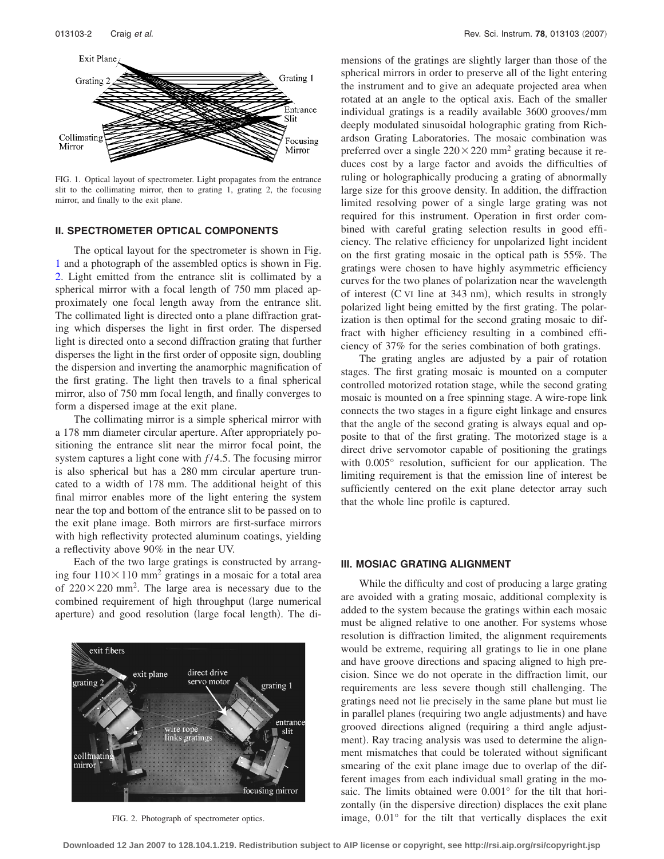<span id="page-1-0"></span>

FIG. 1. Optical layout of spectrometer. Light propagates from the entrance slit to the collimating mirror, then to grating 1, grating 2, the focusing mirror, and finally to the exit plane.

#### **II. SPECTROMETER OPTICAL COMPONENTS**

The optical layout for the spectrometer is shown in Fig. [1](#page-1-0) and a photograph of the assembled optics is shown in Fig. [2.](#page-1-1) Light emitted from the entrance slit is collimated by a spherical mirror with a focal length of 750 mm placed approximately one focal length away from the entrance slit. The collimated light is directed onto a plane diffraction grating which disperses the light in first order. The dispersed light is directed onto a second diffraction grating that further disperses the light in the first order of opposite sign, doubling the dispersion and inverting the anamorphic magnification of the first grating. The light then travels to a final spherical mirror, also of 750 mm focal length, and finally converges to form a dispersed image at the exit plane.

The collimating mirror is a simple spherical mirror with a 178 mm diameter circular aperture. After appropriately positioning the entrance slit near the mirror focal point, the system captures a light cone with  $f/4.5$ . The focusing mirror is also spherical but has a 280 mm circular aperture truncated to a width of 178 mm. The additional height of this final mirror enables more of the light entering the system near the top and bottom of the entrance slit to be passed on to the exit plane image. Both mirrors are first-surface mirrors with high reflectivity protected aluminum coatings, yielding a reflectivity above 90% in the near UV.

Each of the two large gratings is constructed by arranging four  $110\times110$  mm<sup>2</sup> gratings in a mosaic for a total area of  $220 \times 220$  mm<sup>2</sup>. The large area is necessary due to the combined requirement of high throughput (large numerical aperture) and good resolution (large focal length). The di-

<span id="page-1-1"></span>

FIG. 2. Photograph of spectrometer optics.

mensions of the gratings are slightly larger than those of the spherical mirrors in order to preserve all of the light entering the instrument and to give an adequate projected area when rotated at an angle to the optical axis. Each of the smaller individual gratings is a readily available 3600 grooves/mm deeply modulated sinusoidal holographic grating from Richardson Grating Laboratories. The mosaic combination was preferred over a single  $220 \times 220$  mm<sup>2</sup> grating because it reduces cost by a large factor and avoids the difficulties of ruling or holographically producing a grating of abnormally large size for this groove density. In addition, the diffraction limited resolving power of a single large grating was not required for this instrument. Operation in first order combined with careful grating selection results in good efficiency. The relative efficiency for unpolarized light incident on the first grating mosaic in the optical path is 55%. The gratings were chosen to have highly asymmetric efficiency curves for the two planes of polarization near the wavelength of interest (C VI line at 343 nm), which results in strongly polarized light being emitted by the first grating. The polarization is then optimal for the second grating mosaic to diffract with higher efficiency resulting in a combined efficiency of 37% for the series combination of both gratings.

The grating angles are adjusted by a pair of rotation stages. The first grating mosaic is mounted on a computer controlled motorized rotation stage, while the second grating mosaic is mounted on a free spinning stage. A wire-rope link connects the two stages in a figure eight linkage and ensures that the angle of the second grating is always equal and opposite to that of the first grating. The motorized stage is a direct drive servomotor capable of positioning the gratings with 0.005° resolution, sufficient for our application. The limiting requirement is that the emission line of interest be sufficiently centered on the exit plane detector array such that the whole line profile is captured.

### **III. MOSIAC GRATING ALIGNMENT**

While the difficulty and cost of producing a large grating are avoided with a grating mosaic, additional complexity is added to the system because the gratings within each mosaic must be aligned relative to one another. For systems whose resolution is diffraction limited, the alignment requirements would be extreme, requiring all gratings to lie in one plane and have groove directions and spacing aligned to high precision. Since we do not operate in the diffraction limit, our requirements are less severe though still challenging. The gratings need not lie precisely in the same plane but must lie in parallel planes (requiring two angle adjustments) and have grooved directions aligned (requiring a third angle adjustment). Ray tracing analysis was used to determine the alignment mismatches that could be tolerated without significant smearing of the exit plane image due to overlap of the different images from each individual small grating in the mosaic. The limits obtained were 0.001° for the tilt that horizontally (in the dispersive direction) displaces the exit plane image, 0.01° for the tilt that vertically displaces the exit

**Downloaded 12 Jan 2007 to 128.104.1.219. Redistribution subject to AIP license or copyright, see http://rsi.aip.org/rsi/copyright.jsp**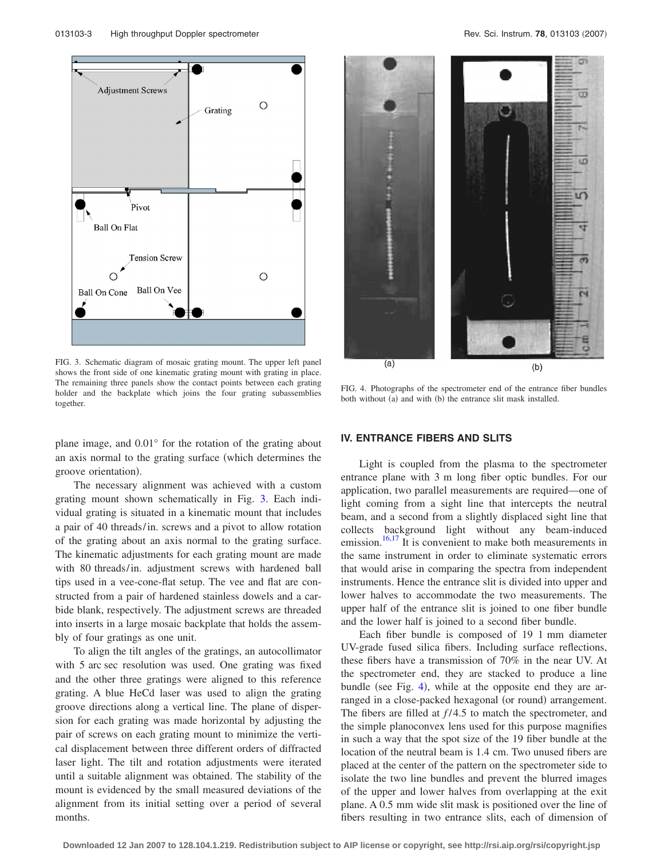<span id="page-2-0"></span>

FIG. 3. Schematic diagram of mosaic grating mount. The upper left panel shows the front side of one kinematic grating mount with grating in place. The remaining three panels show the contact points between each grating holder and the backplate which joins the four grating subassemblies together.

plane image, and 0.01° for the rotation of the grating about an axis normal to the grating surface (which determines the groove orientation).

The necessary alignment was achieved with a custom grating mount shown schematically in Fig. [3.](#page-2-0) Each individual grating is situated in a kinematic mount that includes a pair of 40 threads/in. screws and a pivot to allow rotation of the grating about an axis normal to the grating surface. The kinematic adjustments for each grating mount are made with 80 threads/in. adjustment screws with hardened ball tips used in a vee-cone-flat setup. The vee and flat are constructed from a pair of hardened stainless dowels and a carbide blank, respectively. The adjustment screws are threaded into inserts in a large mosaic backplate that holds the assembly of four gratings as one unit.

To align the tilt angles of the gratings, an autocollimator with 5 arc sec resolution was used. One grating was fixed and the other three gratings were aligned to this reference grating. A blue HeCd laser was used to align the grating groove directions along a vertical line. The plane of dispersion for each grating was made horizontal by adjusting the pair of screws on each grating mount to minimize the vertical displacement between three different orders of diffracted laser light. The tilt and rotation adjustments were iterated until a suitable alignment was obtained. The stability of the mount is evidenced by the small measured deviations of the alignment from its initial setting over a period of several months.

<span id="page-2-1"></span>

FIG. 4. Photographs of the spectrometer end of the entrance fiber bundles both without (a) and with (b) the entrance slit mask installed.

### **IV. ENTRANCE FIBERS AND SLITS**

Light is coupled from the plasma to the spectrometer entrance plane with 3 m long fiber optic bundles. For our application, two parallel measurements are required—one of light coming from a sight line that intercepts the neutral beam, and a second from a slightly displaced sight line that collects background light without any beam-induced emission.<sup>16[,17](#page-5-15)</sup> It is convenient to make both measurements in the same instrument in order to eliminate systematic errors that would arise in comparing the spectra from independent instruments. Hence the entrance slit is divided into upper and lower halves to accommodate the two measurements. The upper half of the entrance slit is joined to one fiber bundle and the lower half is joined to a second fiber bundle.

Each fiber bundle is composed of 19 1 mm diameter UV-grade fused silica fibers. Including surface reflections, these fibers have a transmission of 70% in the near UV. At the spectrometer end, they are stacked to produce a line bundle (see Fig. [4](#page-2-1)), while at the opposite end they are arranged in a close-packed hexagonal (or round) arrangement. The fibers are filled at  $f/4.5$  to match the spectrometer, and the simple planoconvex lens used for this purpose magnifies in such a way that the spot size of the 19 fiber bundle at the location of the neutral beam is 1.4 cm. Two unused fibers are placed at the center of the pattern on the spectrometer side to isolate the two line bundles and prevent the blurred images of the upper and lower halves from overlapping at the exit plane. A 0.5 mm wide slit mask is positioned over the line of fibers resulting in two entrance slits, each of dimension of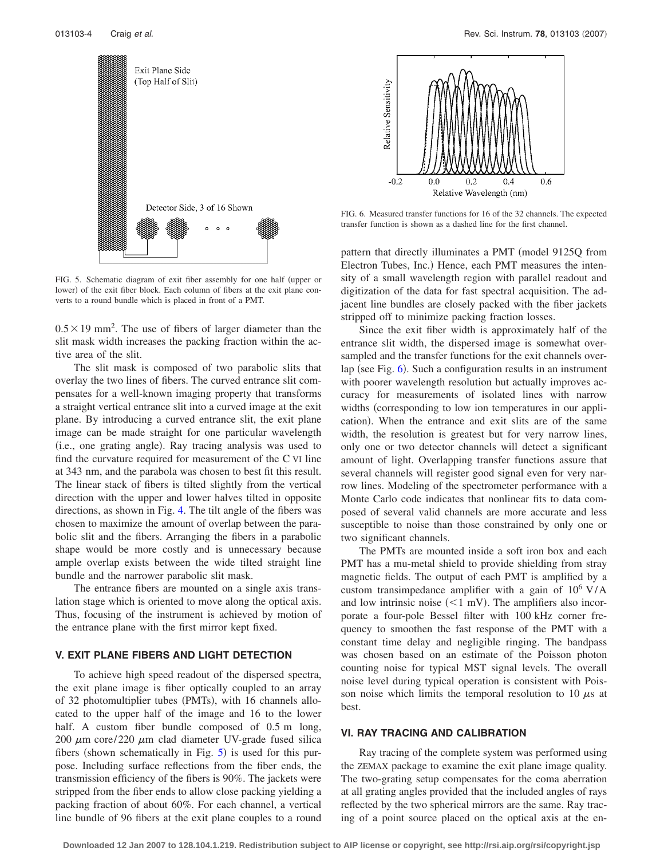<span id="page-3-0"></span>

<span id="page-3-1"></span>Relative Sensitivity

FIG. 6. Measured transfer functions for 16 of the 32 channels. The expected transfer function is shown as a dashed line for the first channel.

0.2

Relative Wavelength (nm)

0.4

 $-0.2$ 

 $_{0.0}$ 

FIG. 5. Schematic diagram of exit fiber assembly for one half (upper or lower) of the exit fiber block. Each column of fibers at the exit plane converts to a round bundle which is placed in front of a PMT.

 $0.5 \times 19$  mm<sup>2</sup>. The use of fibers of larger diameter than the slit mask width increases the packing fraction within the active area of the slit.

The slit mask is composed of two parabolic slits that overlay the two lines of fibers. The curved entrance slit compensates for a well-known imaging property that transforms a straight vertical entrance slit into a curved image at the exit plane. By introducing a curved entrance slit, the exit plane image can be made straight for one particular wavelength (i.e., one grating angle). Ray tracing analysis was used to find the curvature required for measurement of the C VI line at 343 nm, and the parabola was chosen to best fit this result. The linear stack of fibers is tilted slightly from the vertical direction with the upper and lower halves tilted in opposite directions, as shown in Fig. [4.](#page-2-1) The tilt angle of the fibers was chosen to maximize the amount of overlap between the parabolic slit and the fibers. Arranging the fibers in a parabolic shape would be more costly and is unnecessary because ample overlap exists between the wide tilted straight line bundle and the narrower parabolic slit mask.

The entrance fibers are mounted on a single axis translation stage which is oriented to move along the optical axis. Thus, focusing of the instrument is achieved by motion of the entrance plane with the first mirror kept fixed.

### **V. EXIT PLANE FIBERS AND LIGHT DETECTION**

To achieve high speed readout of the dispersed spectra, the exit plane image is fiber optically coupled to an array of 32 photomultiplier tubes (PMTs), with 16 channels allocated to the upper half of the image and 16 to the lower half. A custom fiber bundle composed of 0.5 m long, 200  $\mu$ m core/ 220  $\mu$ m clad diameter UV-grade fused silica fibers (shown schematically in Fig.  $5$ ) is used for this purpose. Including surface reflections from the fiber ends, the transmission efficiency of the fibers is 90%. The jackets were stripped from the fiber ends to allow close packing yielding a packing fraction of about 60%. For each channel, a vertical line bundle of 96 fibers at the exit plane couples to a round  $0.6$ 

pattern that directly illuminates a PMT (model 9125Q from Electron Tubes, Inc.) Hence, each PMT measures the intensity of a small wavelength region with parallel readout and digitization of the data for fast spectral acquisition. The adjacent line bundles are closely packed with the fiber jackets stripped off to minimize packing fraction losses.

Since the exit fiber width is approximately half of the entrance slit width, the dispersed image is somewhat oversampled and the transfer functions for the exit channels over-lap (see Fig. [6](#page-3-1)). Such a configuration results in an instrument with poorer wavelength resolution but actually improves accuracy for measurements of isolated lines with narrow widths (corresponding to low ion temperatures in our application). When the entrance and exit slits are of the same width, the resolution is greatest but for very narrow lines, only one or two detector channels will detect a significant amount of light. Overlapping transfer functions assure that several channels will register good signal even for very narrow lines. Modeling of the spectrometer performance with a Monte Carlo code indicates that nonlinear fits to data composed of several valid channels are more accurate and less susceptible to noise than those constrained by only one or two significant channels.

The PMTs are mounted inside a soft iron box and each PMT has a mu-metal shield to provide shielding from stray magnetic fields. The output of each PMT is amplified by a custom transimpedance amplifier with a gain of  $10^6$  V/A and low intrinsic noise  $(< 1$  mV). The amplifiers also incorporate a four-pole Bessel filter with 100 kHz corner frequency to smoothen the fast response of the PMT with a constant time delay and negligible ringing. The bandpass was chosen based on an estimate of the Poisson photon counting noise for typical MST signal levels. The overall noise level during typical operation is consistent with Poisson noise which limits the temporal resolution to 10  $\mu$ s at best.

## **VI. RAY TRACING AND CALIBRATION**

Ray tracing of the complete system was performed using the ZEMAX package to examine the exit plane image quality. The two-grating setup compensates for the coma aberration at all grating angles provided that the included angles of rays reflected by the two spherical mirrors are the same. Ray tracing of a point source placed on the optical axis at the en-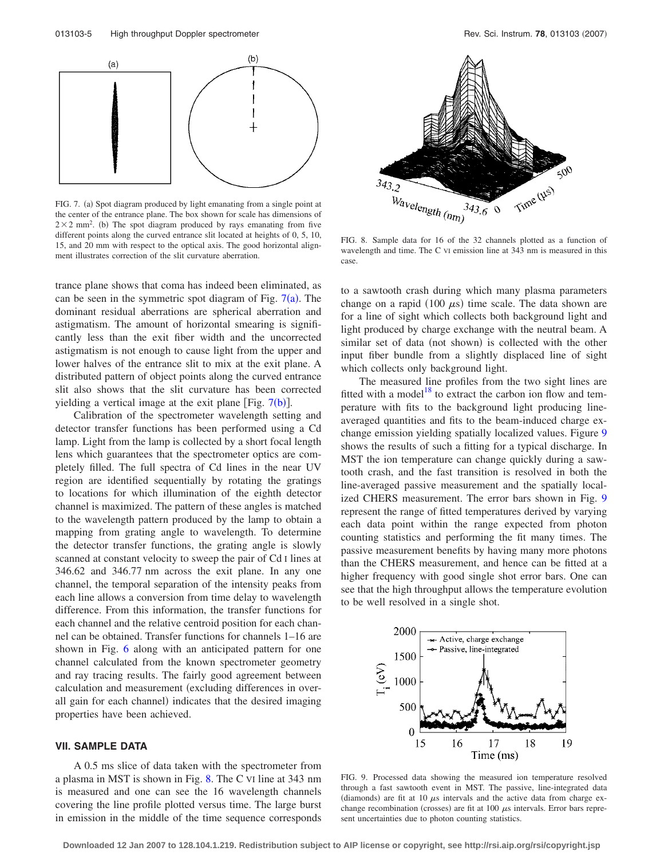<span id="page-4-0"></span>

FIG. 7. (a) Spot diagram produced by light emanating from a single point at the center of the entrance plane. The box shown for scale has dimensions of  $2 \times 2$  mm<sup>2</sup>. (b) The spot diagram produced by rays emanating from five different points along the curved entrance slit located at heights of 0, 5, 10, 15, and 20 mm with respect to the optical axis. The good horizontal alignment illustrates correction of the slit curvature aberration.

trance plane shows that coma has indeed been eliminated, as can be seen in the symmetric spot diagram of Fig.  $7(a)$  $7(a)$ . The dominant residual aberrations are spherical aberration and astigmatism. The amount of horizontal smearing is significantly less than the exit fiber width and the uncorrected astigmatism is not enough to cause light from the upper and lower halves of the entrance slit to mix at the exit plane. A distributed pattern of object points along the curved entrance slit also shows that the slit curvature has been corrected yielding a vertical image at the exit plane [Fig.  $7(b)$  $7(b)$  $7(b)$ ].

Calibration of the spectrometer wavelength setting and detector transfer functions has been performed using a Cd lamp. Light from the lamp is collected by a short focal length lens which guarantees that the spectrometer optics are completely filled. The full spectra of Cd lines in the near UV region are identified sequentially by rotating the gratings to locations for which illumination of the eighth detector channel is maximized. The pattern of these angles is matched to the wavelength pattern produced by the lamp to obtain a mapping from grating angle to wavelength. To determine the detector transfer functions, the grating angle is slowly scanned at constant velocity to sweep the pair of Cd I lines at 346.62 and 346.77 nm across the exit plane. In any one channel, the temporal separation of the intensity peaks from each line allows a conversion from time delay to wavelength difference. From this information, the transfer functions for each channel and the relative centroid position for each channel can be obtained. Transfer functions for channels 1–16 are shown in Fig. [6](#page-3-1) along with an anticipated pattern for one channel calculated from the known spectrometer geometry and ray tracing results. The fairly good agreement between calculation and measurement (excluding differences in overall gain for each channel) indicates that the desired imaging properties have been achieved.

#### **VII. SAMPLE DATA**

A 0.5 ms slice of data taken with the spectrometer from a plasma in MST is shown in Fig. [8.](#page-4-1) The C VI line at 343 nm is measured and one can see the 16 wavelength channels covering the line profile plotted versus time. The large burst in emission in the middle of the time sequence corresponds

<span id="page-4-1"></span>

FIG. 8. Sample data for 16 of the 32 channels plotted as a function of wavelength and time. The C VI emission line at 343 nm is measured in this case.

to a sawtooth crash during which many plasma parameters change on a rapid  $(100 \ \mu s)$  time scale. The data shown are for a line of sight which collects both background light and light produced by charge exchange with the neutral beam. A similar set of data (not shown) is collected with the other input fiber bundle from a slightly displaced line of sight which collects only background light.

The measured line profiles from the two sight lines are fitted with a model<sup>18</sup> to extract the carbon ion flow and temperature with fits to the background light producing lineaveraged quantities and fits to the beam-induced charge exchange emission yielding spatially localized values. Figure [9](#page-4-2) shows the results of such a fitting for a typical discharge. In MST the ion temperature can change quickly during a sawtooth crash, and the fast transition is resolved in both the line-averaged passive measurement and the spatially localized CHERS measurement. The error bars shown in Fig. [9](#page-4-2) represent the range of fitted temperatures derived by varying each data point within the range expected from photon counting statistics and performing the fit many times. The passive measurement benefits by having many more photons than the CHERS measurement, and hence can be fitted at a higher frequency with good single shot error bars. One can see that the high throughput allows the temperature evolution to be well resolved in a single shot.

<span id="page-4-2"></span>

FIG. 9. Processed data showing the measured ion temperature resolved through a fast sawtooth event in MST. The passive, line-integrated data (diamonds) are fit at 10  $\mu$ s intervals and the active data from charge exchange recombination (crosses) are fit at 100  $\mu$ s intervals. Error bars represent uncertainties due to photon counting statistics.